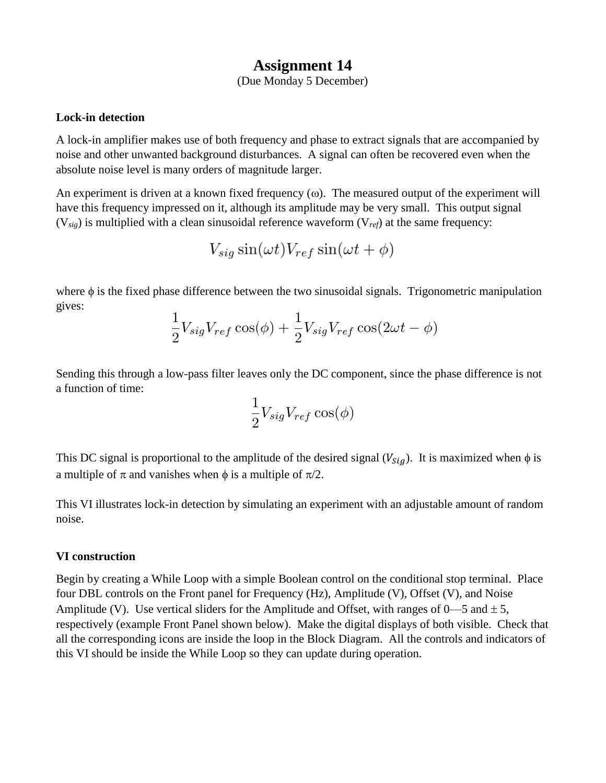## **Assignment 14**

(Due Monday 5 December)

## **Lock-in detection**

A lock-in amplifier makes use of both frequency and phase to extract signals that are accompanied by noise and other unwanted background disturbances. A signal can often be recovered even when the absolute noise level is many orders of magnitude larger.

An experiment is driven at a known fixed frequency  $(\omega)$ . The measured output of the experiment will have this frequency impressed on it, although its amplitude may be very small. This output signal (V*sig*) is multiplied with a clean sinusoidal reference waveform (V*ref*) at the same frequency:

$$
V_{sig}\sin(\omega t)V_{ref}\sin(\omega t+\phi)
$$

where  $\phi$  is the fixed phase difference between the two sinusoidal signals. Trigonometric manipulation gives:

$$
\frac{1}{2}V_{sig}V_{ref}\cos(\phi) + \frac{1}{2}V_{sig}V_{ref}\cos(2\omega t - \phi)
$$

Sending this through a low-pass filter leaves only the DC component, since the phase difference is not a function of time:

$$
\frac{1}{2}V_{sig}V_{ref}\cos(\phi)
$$

This DC signal is proportional to the amplitude of the desired signal  $(V_{sig})$ . It is maximized when  $\phi$  is a multiple of  $\pi$  and vanishes when  $\phi$  is a multiple of  $\pi/2$ .

This VI illustrates lock-in detection by simulating an experiment with an adjustable amount of random noise.

## **VI construction**

Begin by creating a While Loop with a simple Boolean control on the conditional stop terminal. Place four DBL controls on the Front panel for Frequency (Hz), Amplitude (V), Offset (V), and Noise Amplitude (V). Use vertical sliders for the Amplitude and Offset, with ranges of  $0$ —5 and  $\pm$  5, respectively (example Front Panel shown below). Make the digital displays of both visible. Check that all the corresponding icons are inside the loop in the Block Diagram. All the controls and indicators of this VI should be inside the While Loop so they can update during operation.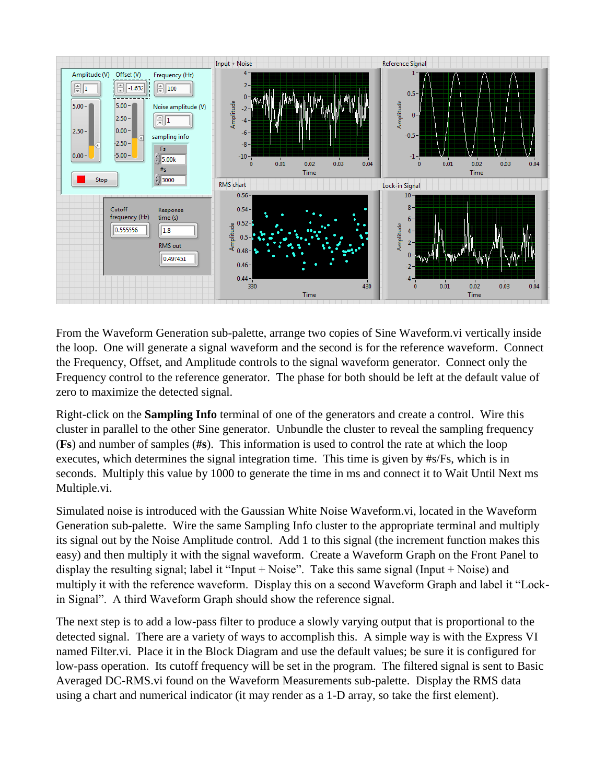

From the Waveform Generation sub-palette, arrange two copies of Sine Waveform.vi vertically inside the loop. One will generate a signal waveform and the second is for the reference waveform. Connect the Frequency, Offset, and Amplitude controls to the signal waveform generator. Connect only the Frequency control to the reference generator. The phase for both should be left at the default value of zero to maximize the detected signal.

Right-click on the **Sampling Info** terminal of one of the generators and create a control. Wire this cluster in parallel to the other Sine generator. Unbundle the cluster to reveal the sampling frequency (**Fs**) and number of samples (**#s**). This information is used to control the rate at which the loop executes, which determines the signal integration time. This time is given by #s/Fs, which is in seconds. Multiply this value by 1000 to generate the time in ms and connect it to Wait Until Next ms Multiple.vi.

Simulated noise is introduced with the Gaussian White Noise Waveform.vi, located in the Waveform Generation sub-palette. Wire the same Sampling Info cluster to the appropriate terminal and multiply its signal out by the Noise Amplitude control. Add 1 to this signal (the increment function makes this easy) and then multiply it with the signal waveform. Create a Waveform Graph on the Front Panel to display the resulting signal; label it "Input + Noise". Take this same signal (Input + Noise) and multiply it with the reference waveform. Display this on a second Waveform Graph and label it "Lockin Signal". A third Waveform Graph should show the reference signal.

The next step is to add a low-pass filter to produce a slowly varying output that is proportional to the detected signal. There are a variety of ways to accomplish this. A simple way is with the Express VI named Filter.vi. Place it in the Block Diagram and use the default values; be sure it is configured for low-pass operation. Its cutoff frequency will be set in the program. The filtered signal is sent to Basic Averaged DC-RMS.vi found on the Waveform Measurements sub-palette. Display the RMS data using a chart and numerical indicator (it may render as a 1-D array, so take the first element).